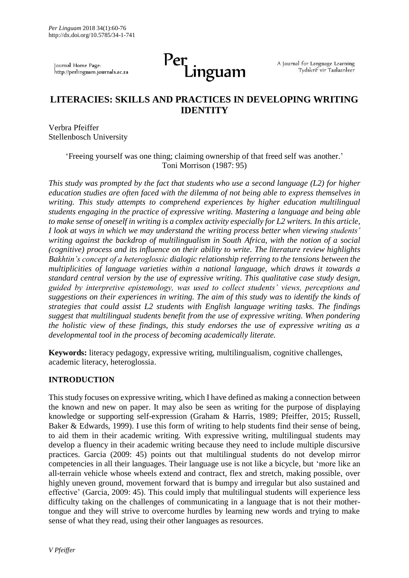Journal Home Page: http://perlinguam.journals.ac.za

# Per<br>Linguam

A Journal for Language Learning Tydskrif vir Taalaanleer

# **LITERACIES: SKILLS AND PRACTICES IN DEVELOPING WRITING IDENTITY**

Verbra Pfeiffer Stellenbosch University

> 'Freeing yourself was one thing; claiming ownership of that freed self was another.' [Toni Morrison \(](http://www.brainyquote.com/quotes/authors/t/toni_morrison.html)1987: 95)

*This study was prompted by the fact that students who use a second language (L2) for higher education studies are often faced with the dilemma of not being able to express themselves in writing. This study attempts to comprehend experiences by higher education multilingual students engaging in the practice of expressive writing. Mastering a language and being able to make sense of oneself in writing is a complex activity especially for L2 writers. In this article, I look at ways in which we may understand the writing process better when viewing students' writing against the backdrop of multilingualism in South Africa, with the notion of a social (cognitive) process and its influence on their ability to write. The literature review highlights Bakhtin's concept of a heteroglossic dialogic relationship referring to the tensions between the multiplicities of language varieties within a national language, which draws it towards a standard central version by the use of expressive writing. This qualitative case study design, guided by interpretive epistemology, was used to collect students' views, perceptions and suggestions on their experiences in writing. The aim of this study was to identify the kinds of strategies that could assist L2 students with English language writing tasks. The findings suggest that multilingual students benefit from the use of expressive writing. When pondering the holistic view of these findings, this study endorses the use of expressive writing as a developmental tool in the process of becoming academically literate.*

**Keywords:** literacy pedagogy, expressive writing, multilingualism, cognitive challenges, academic literacy, heteroglossia.

#### **INTRODUCTION**

This study focuses on expressive writing, which I have defined as making a connection between the known and new on paper. It may also be seen as writing for the purpose of displaying knowledge or supporting self-expression (Graham & Harris, 1989; Pfeiffer, 2015; Russell, Baker & Edwards, 1999). I use this form of writing to help students find their sense of being, to aid them in their academic writing. With expressive writing, multilingual students may develop a fluency in their academic writing because they need to include multiple discursive practices. Garcia (2009: 45) points out that multilingual students do not develop mirror competencies in all their languages. Their language use is not like a bicycle, but 'more like an all-terrain vehicle whose wheels extend and contract, flex and stretch, making possible, over highly uneven ground, movement forward that is bumpy and irregular but also sustained and effective' (Garcia, 2009: 45). This could imply that multilingual students will experience less difficulty taking on the challenges of communicating in a language that is not their mothertongue and they will strive to overcome hurdles by learning new words and trying to make sense of what they read, using their other languages as resources.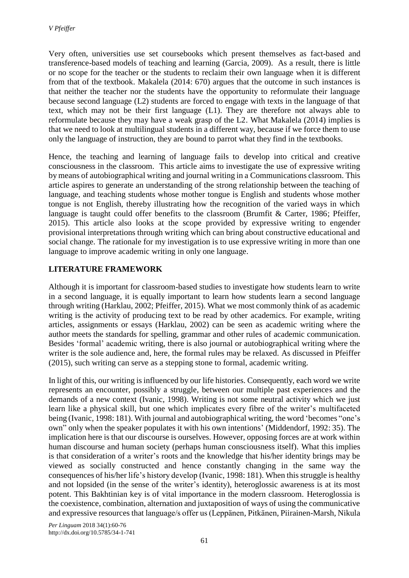Very often, universities use set coursebooks which present themselves as fact-based and transference-based models of teaching and learning (Garcia, 2009). As a result, there is little or no scope for the teacher or the students to reclaim their own language when it is different from that of the textbook. Makalela (2014: 670) argues that the outcome in such instances is that neither the teacher nor the students have the opportunity to reformulate their language because second language (L2) students are forced to engage with texts in the language of that text, which may not be their first language (L1). They are therefore not always able to reformulate because they may have a weak grasp of the L2. What Makalela (2014) implies is that we need to look at multilingual students in a different way, because if we force them to use only the language of instruction, they are bound to parrot what they find in the textbooks.

Hence, the teaching and learning of language fails to develop into critical and creative consciousness in the classroom. This article aims to investigate the use of expressive writing by means of autobiographical writing and journal writing in a Communications classroom. This article aspires to generate an understanding of the strong relationship between the teaching of language, and teaching students whose mother tongue is English and students whose mother tongue is not English, thereby illustrating how the recognition of the varied ways in which language is taught could offer benefits to the classroom (Brumfit & Carter, 1986; Pfeiffer, 2015). This article also looks at the scope provided by expressive writing to engender provisional interpretations through writing which can bring about constructive educational and social change. The rationale for my investigation is to use expressive writing in more than one language to improve academic writing in only one language.

# **LITERATURE FRAMEWORK**

Although it is important for classroom-based studies to investigate how students learn to write in a second language, it is equally important to learn how students learn a second language through writing (Harklau, 2002; Pfeiffer, 2015). What we most commonly think of as academic writing is the activity of producing text to be read by other academics. For example, writing articles, assignments or essays (Harklau, 2002) can be seen as academic writing where the author meets the standards for spelling, grammar and other rules of academic communication. Besides 'formal' academic writing, there is also journal or autobiographical writing where the writer is the sole audience and, here, the formal rules may be relaxed. As discussed in Pfeiffer (2015), such writing can serve as a stepping stone to formal, academic writing.

In light of this, our writing is influenced by our life histories. Consequently, each word we write represents an encounter, possibly a struggle, between our multiple past experiences and the demands of a new context (Ivanic, 1998). Writing is not some neutral activity which we just learn like a physical skill, but one which implicates every fibre of the writer's multifaceted being (Ivanic, 1998: 181). With journal and autobiographical writing, the word 'becomes "one's own" only when the speaker populates it with his own intentions' (Middendorf, 1992: 35). The implication here is that our discourse is ourselves. However, opposing forces are at work within human discourse and human society (perhaps human consciousness itself). What this implies is that consideration of a writer's roots and the knowledge that his/her identity brings may be viewed as socially constructed and hence constantly changing in the same way the consequences of his/her life's history develop (Ivanic, 1998: 181). When this struggle is healthy and not lopsided (in the sense of the writer's identity), heteroglossic awareness is at its most potent. This Bakhtinian key is of vital importance in the modern classroom. Heteroglossia is the coexistence, combination, alternation and juxtaposition of ways of using the communicative and expressive resources that language/s offer us (Leppӓnen, Pitkӓnen, Piirainen-Marsh, Nikula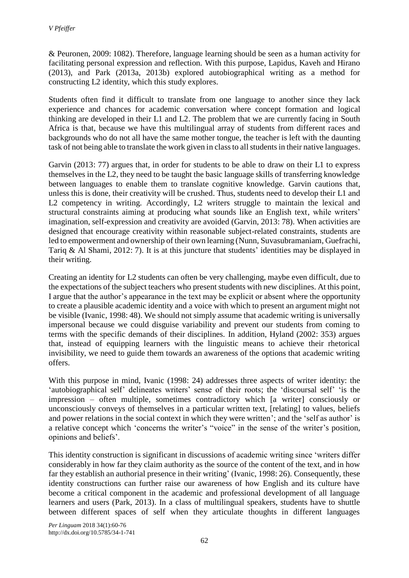& Peuronen, 2009: 1082). Therefore, language learning should be seen as a human activity for facilitating personal expression and reflection. With this purpose, Lapidus, Kaveh and Hirano (2013), and Park (2013a, 2013b) explored autobiographical writing as a method for constructing L2 identity, which this study explores.

Students often find it difficult to translate from one language to another since they lack experience and chances for academic conversation where concept formation and logical thinking are developed in their L1 and L2. The problem that we are currently facing in South Africa is that, because we have this multilingual array of students from different races and backgrounds who do not all have the same mother tongue, the teacher is left with the daunting task of not being able to translate the work given in class to all students in their native languages.

Garvin (2013: 77) argues that, in order for students to be able to draw on their L1 to express themselves in the L2, they need to be taught the basic language skills of transferring knowledge between languages to enable them to translate cognitive knowledge. Garvin cautions that, unless this is done, their creativity will be crushed. Thus, students need to develop their L1 and L2 competency in writing. Accordingly, L2 writers struggle to maintain the lexical and structural constraints aiming at producing what sounds like an English text, while writers' imagination, self-expression and creativity are avoided (Garvin, 2013: 78). When activities are designed that encourage creativity within reasonable subject-related constraints, students are led to empowerment and ownership of their own learning (Nunn, Suvasubramaniam, Guefrachi, Tariq & Al Shami, 2012: 7). It is at this juncture that students' identities may be displayed in their writing.

Creating an identity for L2 students can often be very challenging, maybe even difficult, due to the expectations of the subject teachers who present students with new disciplines. At this point, I argue that the author's appearance in the text may be explicit or absent where the opportunity to create a plausible academic identity and a voice with which to present an argument might not be visible (Ivanic, 1998: 48). We should not simply assume that academic writing is universally impersonal because we could disguise variability and prevent our students from coming to terms with the specific demands of their disciplines. In addition, Hyland (2002: 353) argues that, instead of equipping learners with the linguistic means to achieve their rhetorical invisibility, we need to guide them towards an awareness of the options that academic writing offers.

With this purpose in mind, Ivanic (1998: 24) addresses three aspects of writer identity: the 'autobiographical self' delineates writers' sense of their roots; the 'discoursal self' 'is the impression – often multiple, sometimes contradictory which [a writer] consciously or unconsciously conveys of themselves in a particular written text, [relating] to values, beliefs and power relations in the social context in which they were written'; and the 'self as author' is a relative concept which 'concerns the writer's "voice" in the sense of the writer's position, opinions and beliefs'.

This identity construction is significant in discussions of academic writing since 'writers differ considerably in how far they claim authority as the source of the content of the text, and in how far they establish an authorial presence in their writing' (Ivanic, 1998: 26). Consequently, these identity constructions can further raise our awareness of how English and its culture have become a critical component in the academic and professional development of all language learners and users (Park, 2013). In a class of multilingual speakers, students have to shuttle between different spaces of self when they articulate thoughts in different languages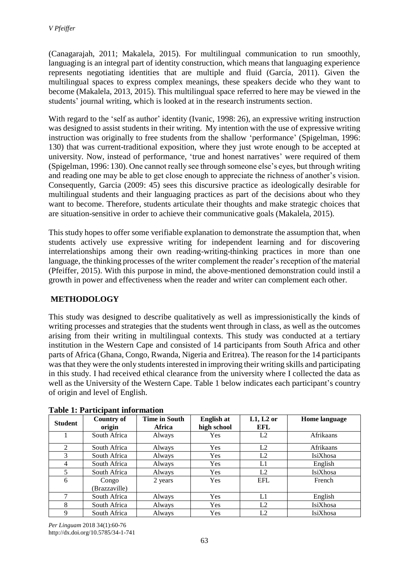(Canagarajah, 2011; Makalela, 2015). For multilingual communication to run smoothly, languaging is an integral part of identity construction, which means that languaging experience represents negotiating identities that are multiple and fluid (García, 2011). Given the multilingual spaces to express complex meanings, these speakers decide who they want to become (Makalela, 2013, 2015). This multilingual space referred to here may be viewed in the students' journal writing, which is looked at in the research instruments section.

With regard to the 'self as author' identity (Ivanic, 1998: 26), an expressive writing instruction was designed to assist students in their writing. My intention with the use of expressive writing instruction was originally to free students from the shallow 'performance' (Spigelman, 1996: 130) that was current-traditional exposition, where they just wrote enough to be accepted at university. Now, instead of performance, 'true and honest narratives' were required of them (Spigelman, 1996: 130). One cannot really see through someone else's eyes, but through writing and reading one may be able to get close enough to appreciate the richness of another's vision. Consequently, Garcia (2009: 45) sees this discursive practice as ideologically desirable for multilingual students and their languaging practices as part of the decisions about who they want to become. Therefore, students articulate their thoughts and make strategic choices that are situation-sensitive in order to achieve their communicative goals (Makalela, 2015).

This study hopes to offer some verifiable explanation to demonstrate the assumption that, when students actively use expressive writing for independent learning and for discovering interrelationships among their own reading-writing-thinking practices in more than one language, the thinking processes of the writer complement the reader's reception of the material (Pfeiffer, 2015). With this purpose in mind, the above-mentioned demonstration could instil a growth in power and effectiveness when the reader and writer can complement each other.

# **METHODOLOGY**

This study was designed to describe qualitatively as well as impressionistically the kinds of writing processes and strategies that the students went through in class, as well as the outcomes arising from their writing in multilingual contexts. This study was conducted at a tertiary institution in the Western Cape and consisted of 14 participants from South Africa and other parts of Africa (Ghana, Congo, Rwanda, Nigeria and Eritrea). The reason for the 14 participants wasthat they were the only students interested in improving their writing skills and participating in this study. I had received ethical clearance from the university where I collected the data as well as the University of the Western Cape. Table 1 below indicates each participant's country of origin and level of English.

| <b>Student</b> | <b>Country of</b> | <b>Time in South</b> | <b>English at</b> | $L1, L2$ or | Home language |
|----------------|-------------------|----------------------|-------------------|-------------|---------------|
|                | origin            | <b>Africa</b>        | high school       | EFL         |               |
|                | South Africa      | <b>Always</b>        | <b>Yes</b>        | L2          | Afrikaans     |
| 2              | South Africa      | Always               | Yes               | L2          | Afrikaans     |
| 3              | South Africa      | Always               | Yes               | L2          | IsiXhosa      |
| 4              | South Africa      | Always               | Yes               | L1          | English       |
| 5              | South Africa      | Always               | Yes               | L2          | IsiXhosa      |
| 6              | Congo             | 2 years              | Yes               | <b>EFL</b>  | French        |
|                | (Brazzaville)     |                      |                   |             |               |
| 7              | South Africa      | Always               | Yes               | L1          | English       |
| 8              | South Africa      | Always               | Yes               | L2          | IsiXhosa      |
| 9              | South Africa      | Always               | Yes               | L2          | IsiXhosa      |

**Table 1: Participant information**

*Per Linguam* 2018 34(1):60-76 http://dx.doi.org/10.5785/34-1-741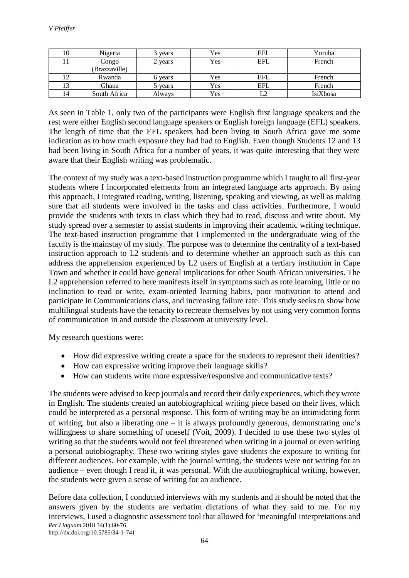| 10 | Nigeria       | 3 years | Yes | <b>EFL</b> | Yoruba   |
|----|---------------|---------|-----|------------|----------|
| 11 | Congo         | 2 years | Yes | <b>EFL</b> | French   |
|    | (Brazzaville) |         |     |            |          |
| 12 | Rwanda        | 6 years | Yes | <b>EFL</b> | French   |
| 13 | Ghana         | 5 years | Yes | EFL        | French   |
| 14 | South Africa  | Always  | Yes |            | IsiXhosa |

As seen in Table 1, only two of the participants were English first language speakers and the rest were either English second language speakers or English foreign language (EFL) speakers. The length of time that the EFL speakers had been living in South Africa gave me some indication as to how much exposure they had had to English. Even though Students 12 and 13 had been living in South Africa for a number of years, it was quite interesting that they were aware that their English writing was problematic.

The context of my study was a text-based instruction programme which I taught to all first-year students where I incorporated elements from an integrated language arts approach. By using this approach, I integrated reading, writing, listening, speaking and viewing, as well as making sure that all students were involved in the tasks and class activities. Furthermore, I would provide the students with texts in class which they had to read, discuss and write about. My study spread over a semester to assist students in improving their academic writing technique. The text-based instruction programme that I implemented in the undergraduate wing of the faculty is the mainstay of my study. The purpose was to determine the centrality of a text-based instruction approach to L2 students and to determine whether an approach such as this can address the apprehension experienced by L2 users of English at a tertiary institution in Cape Town and whether it could have general implications for other South African universities. The L2 apprehension referred to here manifests itself in symptoms such as rote learning, little or no inclination to read or write, exam-oriented learning habits, poor motivation to attend and participate in Communications class, and increasing failure rate. This study seeks to show how multilingual students have the tenacity to recreate themselves by not using very common forms of communication in and outside the classroom at university level.

My research questions were:

- How did expressive writing create a space for the students to represent their identities?
- How can expressive writing improve their language skills?
- How can students write more expressive/responsive and communicative texts?

The students were advised to keep journals and record their daily experiences, which they wrote in English. The students created an autobiographical writing piece based on their lives, which could be interpreted as a personal response. This form of writing may be an intimidating form of writing, but also a liberating one − it is always profoundly generous, demonstrating one's willingness to share something of oneself (Voit, 2009). I decided to use these two styles of writing so that the students would not feel threatened when writing in a journal or even writing a personal autobiography. These two writing styles gave students the exposure to writing for different audiences. For example, with the journal writing, the students were not writing for an audience – even though I read it, it was personal. With the autobiographical writing, however, the students were given a sense of writing for an audience.

*Per Linguam* 2018 34(1):60-76 Before data collection, I conducted interviews with my students and it should be noted that the answers given by the students are verbatim dictations of what they said to me. For my interviews, I used a diagnostic assessment tool that allowed for 'meaningful interpretations and

http://dx.doi.org/10.5785/34-1-741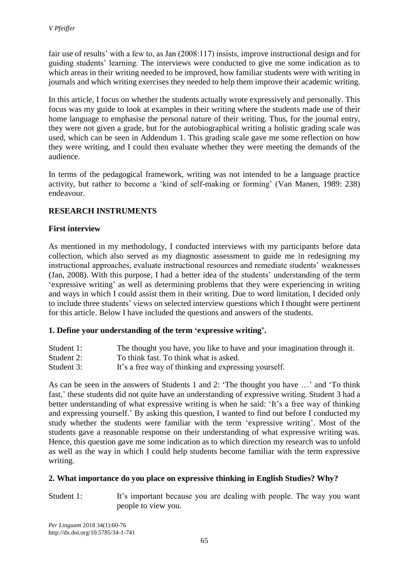fair use of results' with a few to, as Jan (2008:117) insists, improve instructional design and for guiding students' learning. The interviews were conducted to give me some indication as to which areas in their writing needed to be improved, how familiar students were with writing in journals and which writing exercises they needed to help them improve their academic writing.

In this article, I focus on whether the students actually wrote expressively and personally. This focus was my guide to look at examples in their writing where the students made use of their home language to emphasise the personal nature of their writing. Thus, for the journal entry, they were not given a grade, but for the autobiographical writing a holistic grading scale was used, which can be seen in Addendum 1. This grading scale gave me some reflection on how they were writing, and I could then evaluate whether they were meeting the demands of the audience.

In terms of the pedagogical framework, writing was not intended to be a language practice activity, but rather to become a 'kind of self-making or forming' (Van Manen, 1989: 238) endeavour.

# **RESEARCH INSTRUMENTS**

#### **First interview**

As mentioned in my methodology, I conducted interviews with my participants before data collection, which also served as my diagnostic assessment to guide me in redesigning my instructional approaches, evaluate instructional resources and remediate students' weaknesses (Jan, 2008). With this purpose, I had a better idea of the students' understanding of the term 'expressive writing' as well as determining problems that they were experiencing in writing and ways in which I could assist them in their writing. Due to word limitation, I decided only to include three students' views on selected interview questions which I thought were pertinent for this article. Below I have included the questions and answers of the students.

#### **1. Define your understanding of the term 'expressive writing'.**

- Student 1: The thought you have, you like to have and your imagination through it.
- Student 2: To think fast. To think what is asked.
- Student 3: It's a free way of thinking and expressing yourself.

As can be seen in the answers of Students 1 and 2: 'The thought you have …' and 'To think fast,' these students did not quite have an understanding of expressive writing. Student 3 had a better understanding of what expressive writing is when he said: 'It's a free way of thinking and expressing yourself.' By asking this question, I wanted to find out before I conducted my study whether the students were familiar with the term 'expressive writing'. Most of the students gave a reasonable response on their understanding of what expressive writing was. Hence, this question gave me some indication as to which direction my research was to unfold as well as the way in which I could help students become familiar with the term expressive writing.

#### **2. What importance do you place on expressive thinking in English Studies? Why?**

Student 1: It's important because you are dealing with people. The way you want people to view you.

*Per Linguam* 2018 34(1):60-76 http://dx.doi.org/10.5785/34-1-741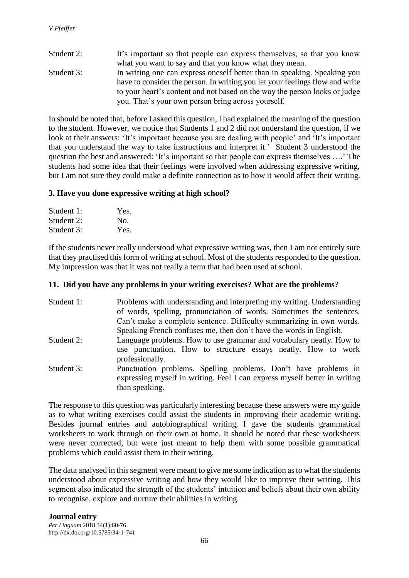Student 2: It's important so that people can express themselves, so that you know what you want to say and that you know what they mean. Student 3: In writing one can express oneself better than in speaking. Speaking you have to consider the person. In writing you let your feelings flow and write to your heart's content and not based on the way the person looks or judge you. That's your own person bring across yourself.

In should be noted that, before I asked this question, I had explained the meaning of the question to the student. However, we notice that Students 1 and 2 did not understand the question, if we look at their answers: 'It's important because you are dealing with people' and 'It's important that you understand the way to take instructions and interpret it.' Student 3 understood the question the best and answered: 'It's important so that people can express themselves ….' The students had some idea that their feelings were involved when addressing expressive writing, but I am not sure they could make a definite connection as to how it would affect their writing.

#### **3. Have you done expressive writing at high school?**

| Student 1: | Yes. |
|------------|------|
| Student 2: | No.  |
| Student 3: | Yes. |

If the students never really understood what expressive writing was, then I am not entirely sure that they practised this form of writing at school. Most of the students responded to the question. My impression was that it was not really a term that had been used at school.

#### **11. Did you have any problems in your writing exercises? What are the problems?**

| Student 1: | Problems with understanding and interpreting my writing. Understanding          |
|------------|---------------------------------------------------------------------------------|
|            | of words, spelling, pronunciation of words. Sometimes the sentences.            |
|            | Can't make a complete sentence. Difficulty summarizing in own words.            |
|            | Speaking French confuses me, then don't have the words in English.              |
| Student 2: | Language problems. How to use grammar and vocabulary neatly. How to             |
|            | use punctuation. How to structure essays neatly. How to work<br>professionally. |
| Student 3: | Punctuation problems. Spelling problems. Don't have problems in                 |
|            | expressing myself in writing. Feel I can express myself better in writing       |
|            | than speaking.                                                                  |

The response to this question was particularly interesting because these answers were my guide as to what writing exercises could assist the students in improving their academic writing. Besides journal entries and autobiographical writing, I gave the students grammatical worksheets to work through on their own at home. It should be noted that these worksheets were never corrected, but were just meant to help them with some possible grammatical problems which could assist them in their writing.

The data analysed in this segment were meant to give me some indication as to what the students understood about expressive writing and how they would like to improve their writing. This segment also indicated the strength of the students' intuition and beliefs about their own ability to recognise, explore and nurture their abilities in writing.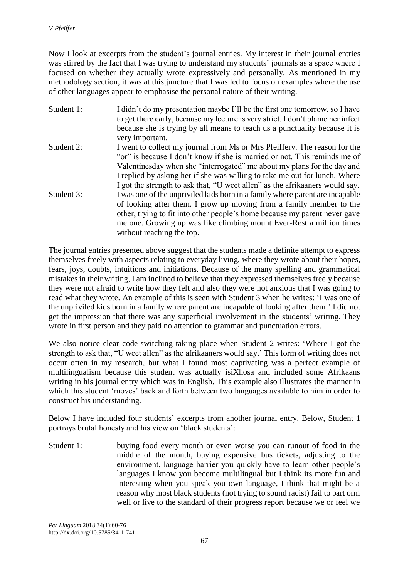Now I look at excerpts from the student's journal entries. My interest in their journal entries was stirred by the fact that I was trying to understand my students' journals as a space where I focused on whether they actually wrote expressively and personally. As mentioned in my methodology section, it was at this juncture that I was led to focus on examples where the use of other languages appear to emphasise the personal nature of their writing.

Student 1: I didn't do my presentation maybe I'll be the first one tomorrow, so I have to get there early, because my lecture is very strict. I don't blame her infect because she is trying by all means to teach us a punctuality because it is very important. Student 2: I went to collect my journal from Ms or Mrs Pfeifferv. The reason for the "or" is because I don't know if she is married or not. This reminds me of Valentinesday when she "interrogated" me about my plans for the day and I replied by asking her if she was willing to take me out for lunch. Where I got the strength to ask that, "U weet allen" as the afrikaaners would say. Student 3: I was one of the unpriviled kids born in a family where parent are incapable of looking after them. I grow up moving from a family member to the other, trying to fit into other people's home because my parent never gave me one. Growing up was like climbing mount Ever-Rest a million times without reaching the top.

The journal entries presented above suggest that the students made a definite attempt to express themselves freely with aspects relating to everyday living, where they wrote about their hopes, fears, joys, doubts, intuitions and initiations. Because of the many spelling and grammatical mistakes in their writing, I am inclined to believe that they expressed themselves freely because they were not afraid to write how they felt and also they were not anxious that I was going to read what they wrote. An example of this is seen with Student 3 when he writes: 'I was one of the unpriviled kids born in a family where parent are incapable of looking after them.' I did not get the impression that there was any superficial involvement in the students' writing. They wrote in first person and they paid no attention to grammar and punctuation errors.

We also notice clear code-switching taking place when Student 2 writes: 'Where I got the strength to ask that, "U weet allen" as the afrikaaners would say.' This form of writing does not occur often in my research, but what I found most captivating was a perfect example of multilingualism because this student was actually isiXhosa and included some Afrikaans writing in his journal entry which was in English. This example also illustrates the manner in which this student 'moves' back and forth between two languages available to him in order to construct his understanding.

Below I have included four students' excerpts from another journal entry. Below, Student 1 portrays brutal honesty and his view on 'black students':

Student 1: buying food every month or even worse you can runout of food in the middle of the month, buying expensive bus tickets, adjusting to the environment, language barrier you quickly have to learn other people's languages I know you become multilingual but I think its more fun and interesting when you speak you own language, I think that might be a reason why most black students (not trying to sound racist) fail to part orm well or live to the standard of their progress report because we or feel we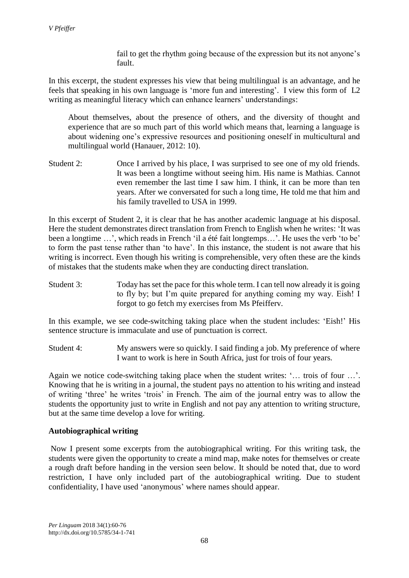fail to get the rhythm going because of the expression but its not anyone's fault.

In this excerpt, the student expresses his view that being multilingual is an advantage, and he feels that speaking in his own language is 'more fun and interesting'. I view this form of L2 writing as meaningful literacy which can enhance learners' understandings:

About themselves, about the presence of others, and the diversity of thought and experience that are so much part of this world which means that, learning a language is about widening one's expressive resources and positioning oneself in multicultural and multilingual world (Hanauer, 2012: 10).

Student 2: Once I arrived by his place, I was surprised to see one of my old friends. It was been a longtime without seeing him. His name is Mathias. Cannot even remember the last time I saw him. I think, it can be more than ten years. After we conversated for such a long time, He told me that him and his family travelled to USA in 1999.

In this excerpt of Student 2, it is clear that he has another academic language at his disposal. Here the student demonstrates direct translation from French to English when he writes: 'It was been a longtime …', which reads in French 'il a été fait longtemps…'. He uses the verb 'to be' to form the past tense rather than 'to have'. In this instance, the student is not aware that his writing is incorrect. Even though his writing is comprehensible, very often these are the kinds of mistakes that the students make when they are conducting direct translation.

Student 3: Today has set the pace for this whole term. I can tell now already it is going to fly by; but I'm quite prepared for anything coming my way. Eish! I forgot to go fetch my exercises from Ms Pfeifferv.

In this example, we see code-switching taking place when the student includes: 'Eish!' His sentence structure is immaculate and use of punctuation is correct.

Student 4: My answers were so quickly. I said finding a job. My preference of where I want to work is here in South Africa, just for trois of four years.

Again we notice code-switching taking place when the student writes: '… trois of four …'. Knowing that he is writing in a journal, the student pays no attention to his writing and instead of writing 'three' he writes 'trois' in French. The aim of the journal entry was to allow the students the opportunity just to write in English and not pay any attention to writing structure, but at the same time develop a love for writing.

#### **Autobiographical writing**

Now I present some excerpts from the autobiographical writing. For this writing task, the students were given the opportunity to create a mind map, make notes for themselves or create a rough draft before handing in the version seen below. It should be noted that, due to word restriction, I have only included part of the autobiographical writing. Due to student confidentiality, I have used 'anonymous' where names should appear.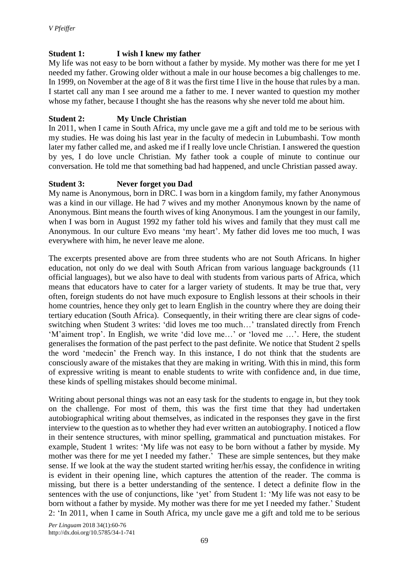# **Student 1: I wish I knew my father**

My life was not easy to be born without a father by myside. My mother was there for me yet I needed my father. Growing older without a male in our house becomes a big challenges to me. In 1999, on November at the age of 8 it was the first time I live in the house that rules by a man. I startet call any man I see around me a father to me. I never wanted to question my mother whose my father, because I thought she has the reasons why she never told me about him.

# **Student 2: My Uncle Christian**

In 2011, when I came in South Africa, my uncle gave me a gift and told me to be serious with my studies. He was doing his last year in the faculty of medecin in Lubumbashi. Tow month later my father called me, and asked me if I really love uncle Christian. I answered the question by yes, I do love uncle Christian. My father took a couple of minute to continue our conversation. He told me that something bad had happened, and uncle Christian passed away.

#### **Student 3: Never forget you Dad**

My name is Anonymous, born in DRC. I was born in a kingdom family, my father Anonymous was a kind in our village. He had 7 wives and my mother Anonymous known by the name of Anonymous. Bint means the fourth wives of king Anonymous. I am the youngest in our family, when I was born in August 1992 my father told his wives and family that they must call me Anonymous. In our culture Evo means 'my heart'. My father did loves me too much, I was everywhere with him, he never leave me alone.

The excerpts presented above are from three students who are not South Africans. In higher education, not only do we deal with South African from various language backgrounds (11 official languages), but we also have to deal with students from various parts of Africa, which means that educators have to cater for a larger variety of students. It may be true that, very often, foreign students do not have much exposure to English lessons at their schools in their home countries, hence they only get to learn English in the country where they are doing their tertiary education (South Africa). Consequently, in their writing there are clear signs of codeswitching when Student 3 writes: 'did loves me too much…' translated directly from French 'M'aiment trop'. In English, we write 'did love me…' or 'loved me …'. Here, the student generalises the formation of the past perfect to the past definite. We notice that Student 2 spells the word 'medecin' the French way. In this instance, I do not think that the students are consciously aware of the mistakes that they are making in writing. With this in mind, this form of expressive writing is meant to enable students to write with confidence and, in due time, these kinds of spelling mistakes should become minimal.

Writing about personal things was not an easy task for the students to engage in, but they took on the challenge. For most of them, this was the first time that they had undertaken autobiographical writing about themselves, as indicated in the responses they gave in the first interview to the question as to whether they had ever written an autobiography. I noticed a flow in their sentence structures, with minor spelling, grammatical and punctuation mistakes. For example, Student 1 writes: 'My life was not easy to be born without a father by myside. My mother was there for me yet I needed my father.' These are simple sentences, but they make sense. If we look at the way the student started writing her/his essay, the confidence in writing is evident in their opening line, which captures the attention of the reader. The comma is missing, but there is a better understanding of the sentence. I detect a definite flow in the sentences with the use of conjunctions, like 'yet' from Student 1: 'My life was not easy to be born without a father by myside. My mother was there for me yet I needed my father.' Student 2: 'In 2011, when I came in South Africa, my uncle gave me a gift and told me to be serious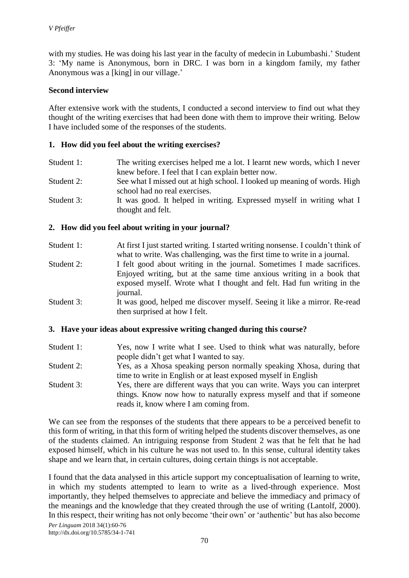with my studies. He was doing his last year in the faculty of medecin in Lubumbashi.' Student 3: 'My name is Anonymous, born in DRC. I was born in a kingdom family, my father Anonymous was a [king] in our village.'

#### **Second interview**

After extensive work with the students, I conducted a second interview to find out what they thought of the writing exercises that had been done with them to improve their writing. Below I have included some of the responses of the students.

#### **1. How did you feel about the writing exercises?**

- Student 1: The writing exercises helped me a lot. I learnt new words, which I never knew before. I feel that I can explain better now.
- Student 2: See what I missed out at high school. I looked up meaning of words. High school had no real exercises.
- Student 3: It was good. It helped in writing. Expressed myself in writing what I thought and felt.

#### **2. How did you feel about writing in your journal?**

| At first I just started writing. I started writing nonsense. I couldn't think of |
|----------------------------------------------------------------------------------|
| what to write. Was challenging, was the first time to write in a journal.        |
| I felt good about writing in the journal. Sometimes I made sacrifices.           |
|                                                                                  |

- Enjoyed writing, but at the same time anxious writing in a book that exposed myself. Wrote what I thought and felt. Had fun writing in the journal.
- Student 3: It was good, helped me discover myself. Seeing it like a mirror. Re-read then surprised at how I felt.

#### **3. Have your ideas about expressive writing changed during this course?**

Student 1: Yes, now I write what I see. Used to think what was naturally, before people didn't get what I wanted to say. Student 2: Yes, as a Xhosa speaking person normally speaking Xhosa, during that time to write in English or at least exposed myself in English Student 3: Yes, there are different ways that you can write. Ways you can interpret things. Know now how to naturally express myself and that if someone reads it, know where I am coming from.

We can see from the responses of the students that there appears to be a perceived benefit to this form of writing, in that this form of writing helped the students discover themselves, as one of the students claimed. An intriguing response from Student 2 was that he felt that he had exposed himself, which in his culture he was not used to. In this sense, cultural identity takes shape and we learn that, in certain cultures, doing certain things is not acceptable.

I found that the data analysed in this article support my conceptualisation of learning to write, in which my students attempted to learn to write as a lived-through experience. Most importantly, they helped themselves to appreciate and believe the immediacy and primacy of the meanings and the knowledge that they created through the use of writing (Lantolf, 2000). In this respect, their writing has not only become 'their own' or 'authentic' but has also become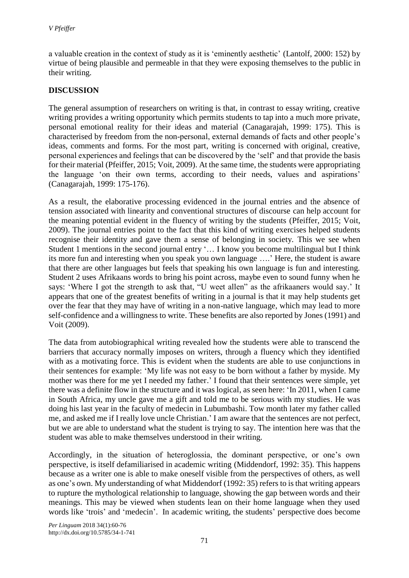a valuable creation in the context of study as it is 'eminently aesthetic' (Lantolf, 2000: 152) by virtue of being plausible and permeable in that they were exposing themselves to the public in their writing.

# **DISCUSSION**

The general assumption of researchers on writing is that, in contrast to essay writing, creative writing provides a writing opportunity which permits students to tap into a much more private, personal emotional reality for their ideas and material (Canagarajah, 1999: 175). This is characterised by freedom from the non-personal, external demands of facts and other people's ideas, comments and forms. For the most part, writing is concerned with original, creative, personal experiences and feelings that can be discovered by the 'self' and that provide the basis for their material (Pfeiffer, 2015; Voit, 2009). At the same time, the students were appropriating the language 'on their own terms, according to their needs, values and aspirations' (Canagarajah, 1999: 175-176).

As a result, the elaborative processing evidenced in the journal entries and the absence of tension associated with linearity and conventional structures of discourse can help account for the meaning potential evident in the fluency of writing by the students (Pfeiffer, 2015; Voit, 2009). The journal entries point to the fact that this kind of writing exercises helped students recognise their identity and gave them a sense of belonging in society. This we see when Student 1 mentions in the second journal entry '… I know you become multilingual but I think its more fun and interesting when you speak you own language ….' Here, the student is aware that there are other languages but feels that speaking his own language is fun and interesting. Student 2 uses Afrikaans words to bring his point across, maybe even to sound funny when he says: 'Where I got the strength to ask that, "U weet allen" as the afrikaaners would say.' It appears that one of the greatest benefits of writing in a journal is that it may help students get over the fear that they may have of writing in a non-native language, which may lead to more self-confidence and a willingness to write. These benefits are also reported by Jones (1991) and Voit (2009).

The data from autobiographical writing revealed how the students were able to transcend the barriers that accuracy normally imposes on writers, through a fluency which they identified with as a motivating force. This is evident when the students are able to use conjunctions in their sentences for example: 'My life was not easy to be born without a father by myside. My mother was there for me yet I needed my father.' I found that their sentences were simple, yet there was a definite flow in the structure and it was logical, as seen here: 'In 2011, when I came in South Africa, my uncle gave me a gift and told me to be serious with my studies. He was doing his last year in the faculty of medecin in Lubumbashi. Tow month later my father called me, and asked me if I really love uncle Christian.' I am aware that the sentences are not perfect, but we are able to understand what the student is trying to say. The intention here was that the student was able to make themselves understood in their writing.

Accordingly, in the situation of heteroglossia, the dominant perspective, or one's own perspective, is itself defamiliarised in academic writing (Middendorf, 1992: 35). This happens because as a writer one is able to make oneself visible from the perspectives of others, as well as one's own. My understanding of what Middendorf (1992: 35) refers to is that writing appears to rupture the mythological relationship to language, showing the gap between words and their meanings. This may be viewed when students lean on their home language when they used words like 'trois' and 'medecin'. In academic writing, the students' perspective does become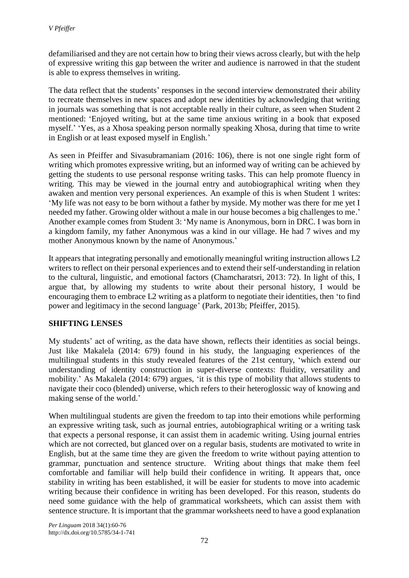defamiliarised and they are not certain how to bring their views across clearly, but with the help of expressive writing this gap between the writer and audience is narrowed in that the student is able to express themselves in writing.

The data reflect that the students' responses in the second interview demonstrated their ability to recreate themselves in new spaces and adopt new identities by acknowledging that writing in journals was something that is not acceptable really in their culture, as seen when Student 2 mentioned: 'Enjoyed writing, but at the same time anxious writing in a book that exposed myself.' 'Yes, as a Xhosa speaking person normally speaking Xhosa, during that time to write in English or at least exposed myself in English.'

As seen in Pfeiffer and Sivasubramaniam (2016: 106), there is not one single right form of writing which promotes expressive writing, but an informed way of writing can be achieved by getting the students to use personal response writing tasks. This can help promote fluency in writing. This may be viewed in the journal entry and autobiographical writing when they awaken and mention very personal experiences. An example of this is when Student 1 writes: 'My life was not easy to be born without a father by myside. My mother was there for me yet I needed my father. Growing older without a male in our house becomes a big challenges to me.' Another example comes from Student 3: 'My name is Anonymous, born in DRC. I was born in a kingdom family, my father Anonymous was a kind in our village. He had 7 wives and my mother Anonymous known by the name of Anonymous.'

It appears that integrating personally and emotionally meaningful writing instruction allows L2 writers to reflect on their personal experiences and to extend their self-understanding in relation to the cultural, linguistic, and emotional factors (Chamcharatsri, 2013: 72). In light of this, I argue that, by allowing my students to write about their personal history, I would be encouraging them to embrace L2 writing as a platform to negotiate their identities, then 'to find power and legitimacy in the second language' (Park, 2013b; Pfeiffer, 2015).

#### **SHIFTING LENSES**

My students' act of writing, as the data have shown, reflects their identities as social beings. Just like Makalela (2014: 679) found in his study, the languaging experiences of the multilingual students in this study revealed features of the 21st century, 'which extend our understanding of identity construction in super-diverse contexts: fluidity, versatility and mobility.' As Makalela (2014: 679) argues, 'it is this type of mobility that allows students to navigate their coco (blended) universe, which refers to their heteroglossic way of knowing and making sense of the world.'

When multilingual students are given the freedom to tap into their emotions while performing an expressive writing task, such as journal entries, autobiographical writing or a writing task that expects a personal response, it can assist them in academic writing. Using journal entries which are not corrected, but glanced over on a regular basis, students are motivated to write in English, but at the same time they are given the freedom to write without paying attention to grammar, punctuation and sentence structure. Writing about things that make them feel comfortable and familiar will help build their confidence in writing. It appears that, once stability in writing has been established, it will be easier for students to move into academic writing because their confidence in writing has been developed. For this reason, students do need some guidance with the help of grammatical worksheets, which can assist them with sentence structure. It is important that the grammar worksheets need to have a good explanation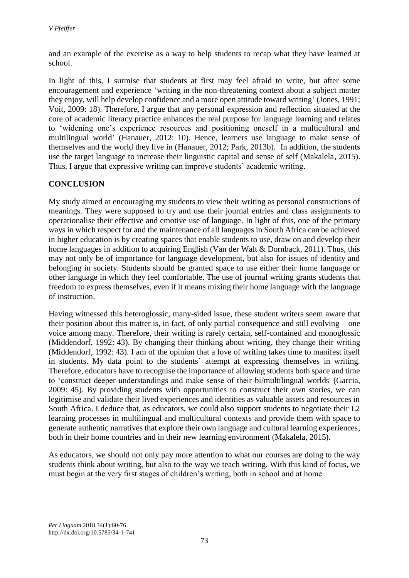and an example of the exercise as a way to help students to recap what they have learned at school.

In light of this, I surmise that students at first may feel afraid to write, but after some encouragement and experience 'writing in the non-threatening context about a subject matter they enjoy, will help develop confidence and a more open attitude toward writing' (Jones, 1991; Voit, 2009: 18). Therefore, I argue that any personal expression and reflection situated at the core of academic literacy practice enhances the real purpose for language learning and relates to 'widening one's experience resources and positioning oneself in a multicultural and multilingual world' (Hanauer, 2012: 10). Hence, learners use language to make sense of themselves and the world they live in (Hanauer, 2012; Park, 2013b). In addition, the students use the target language to increase their linguistic capital and sense of self (Makalela, 2015). Thus, I argue that expressive writing can improve students' academic writing.

# **CONCLUSION**

My study aimed at encouraging my students to view their writing as personal constructions of meanings. They were supposed to try and use their journal entries and class assignments to operationalise their effective and emotive use of language. In light of this, one of the primary ways in which respect for and the maintenance of all languages in South Africa can be achieved in higher education is by creating spaces that enable students to use, draw on and develop their home languages in addition to acquiring English (Van der Walt & Dornback, 2011). Thus, this may not only be of importance for language development, but also for issues of identity and belonging in society. Students should be granted space to use either their home language or other language in which they feel comfortable. The use of journal writing grants students that freedom to express themselves, even if it means mixing their home language with the language of instruction.

Having witnessed this heteroglossic, many-sided issue, these student writers seem aware that their position about this matter is, in fact, of only partial consequence and still evolving – one voice among many. Therefore, their writing is rarely certain, self-contained and monoglossic (Middendorf, 1992: 43). By changing their thinking about writing, they change their writing (Middendorf, 1992: 43). I am of the opinion that a love of writing takes time to manifest itself in students. My data point to the students' attempt at expressing themselves in writing. Therefore, educators have to recognise the importance of allowing students both space and time to 'construct deeper understandings and make sense of their bi/multilingual worlds' (Garcia, 2009: 45). By providing students with opportunities to construct their own stories, we can legitimise and validate their lived experiences and identities as valuable assets and resources in South Africa. I deduce that, as educators, we could also support students to negotiate their L2 learning processes in multilingual and multicultural contexts and provide them with space to generate authentic narratives that explore their own language and cultural learning experiences, both in their home countries and in their new learning environment (Makalela, 2015).

As educators, we should not only pay more attention to what our courses are doing to the way students think about writing, but also to the way we teach writing. With this kind of focus, we must begin at the very first stages of children's writing, both in school and at home.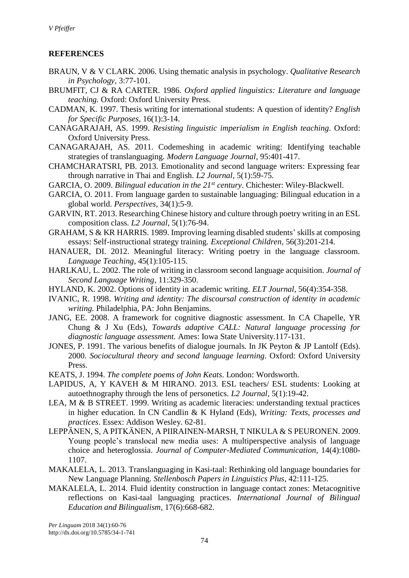# **REFERENCES**

- BRAUN, V & V CLARK. 2006. Using thematic analysis in psychology. *Qualitative Research in Psychology,* 3:77-101.
- BRUMFIT, CJ & RA CARTER. 1986. *Oxford applied linguistics: Literature and language teaching.* Oxford: Oxford University Press.
- CADMAN, K. 1997. Thesis writing for international students: A question of identity? *English for Specific Purposes,* 16(1):3-14.
- CANAGARAJAH, AS. 1999. *Resisting linguistic imperialism in English teaching*. Oxford: Oxford University Press.
- CANAGARAJAH, AS. 2011. Codemeshing in academic writing: Identifying teachable strategies of translanguaging. *Modern Language Journal,* 95:401-417.
- CHAMCHARATSRI, PB. 2013. Emotionality and second language writers: Expressing fear through narrative in Thai and English. *L2 Journal,* 5(1):59-75.
- GARCIA, O. 2009. *Bilingual education in the 21st century*. Chichester: Wiley-Blackwell.
- GARCIA, O. 2011. From language garden to sustainable languaging: Bilingual education in a global world. *Perspectives,* 34(1):5-9.
- GARVIN, RT. 2013. Researching Chinese history and culture through poetry writing in an ESL composition class. *L2 Journal,* 5(1):76-94.
- GRAHAM, S & KR HARRIS. 1989. Improving learning disabled students' skills at composing essays: Self-instructional strategy training. *Exceptional Children,* 56(3):201-214.
- HANAUER, DI. 2012. Meaningful literacy: Writing poetry in the language classroom. *Language Teaching,* 45(1):105-115.
- HARLKAU, L. 2002. The role of writing in classroom second language acquisition. *Journal of Second Language Writing,* 11:329-350.
- HYLAND, K. 2002. Options of identity in academic writing. *ELT Journal,* 56(4):354-358.
- IVANIC, R. 1998. *Writing and identity: The discoursal construction of identity in academic writing.* Philadelphia, PA: John Benjamins.
- JANG, EE. 2008. A framework for cognitive diagnostic assessment. In CA Chapelle, YR Chung & J Xu (Eds), *Towards adaptive CALL: Natural language processing for diagnostic language assessment.* Ames: Iowa State University.117-131.
- JONES, P. 1991. The various benefits of dialogue journals. In JK Peyton & JP Lantolf (Eds). 2000. *Sociocultural theory and second language learning*. Oxford: Oxford University Press.
- KEATS, J. 1994. *The complete poems of John Keats*. London: Wordsworth.
- LAPIDUS, A, Y KAVEH & M HIRANO. 2013. ESL teachers/ ESL students: Looking at autoethnography through the lens of personetics. *L2 Journal,* 5(1):19-42.
- LEA, M & B STREET. 1999. Writing as academic literacies: understanding textual practices in higher education. In CN Candlin & K Hyland (Eds), *Writing: Texts, processes and practices*. Essex: Addison Wesley. 62-81.
- LEPPӒNEN, S, A PITKӒNEN, A PIIRAINEN-MARSH, T NIKULA & S PEURONEN. 2009. Young people's translocal new media uses: A multiperspective analysis of language choice and heteroglossia. *Journal of Computer-Mediated Communication*, 14(4):1080- 1107.
- MAKALELA, L. 2013. Translanguaging in Kasi-taal: Rethinking old language boundaries for New Language Planning. *Stellenbosch Papers in Linguistics Plus,* 42:111-125.
- MAKALELA, L. 2014. Fluid identity construction in language contact zones: Metacognitive reflections on Kasi-taal languaging practices. *International Journal of Bilingual Education and Bilingualism,* 17(6):668-682.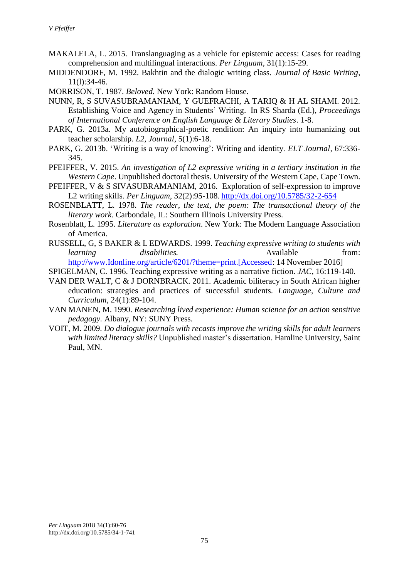- MAKALELA, L. 2015. Translanguaging as a vehicle for epistemic access: Cases for reading comprehension and multilingual interactions. *Per Linguam,* 31(1):15-29.
- MIDDENDORF, M. 1992. Bakhtin and the dialogic writing class. *Journal of Basic Writing,* 11(l):34-46.
- MORRISON, T. 1987. *Beloved.* New York: Random House.
- NUNN, R, S SUVASUBRAMANIAM, Y GUEFRACHI, A TARIQ & H AL SHAMI. 2012. Establishing Voice and Agency in Students' Writing. In RS Sharda (Ed.), *Proceedings of International Conference on English Language & Literary Studies*. 1-8.
- PARK, G. 2013a. My autobiographical-poetic rendition: An inquiry into humanizing out teacher scholarship. *L2, Journal,* 5(1):6-18.
- PARK, G. 2013b. 'Writing is a way of knowing': Writing and identity. *ELT Journal,* 67:336- 345.
- PFEIFFER, V. 2015. *An investigation of L2 expressive writing in a tertiary institution in the Western Cape*. Unpublished doctoral thesis. University of the Western Cape, Cape Town.
- PFEIFFER, V & S SIVASUBRAMANIAM, 2016. Exploration of self-expression to improve L2 writing skills. *Per Linguam,* 32(2):95-108. <http://dx.doi.org/10.5785/32-2-654>
- ROSENBLATT, L. 1978. *The reader, the text, the poem: The transactional theory of the literary work.* Carbondale, IL: Southern Illinois University Press.
- Rosenblatt, L. 1995. *Literature as exploration*. New York: The Modern Language Association of America.
- RUSSELL, G, S BAKER & L EDWARDS. 1999. *Teaching expressive writing to students with learning disabilities.* Available from: [http://www.Idonline.org/article/6201/?theme=print.\[Accessed:](http://www.idonline.org/article/6201/?theme=print.%5bAccessed) 14 November 2016]

SPIGELMAN, C. 1996. Teaching expressive writing as a narrative fiction. *JAC*, 16:119-140.

- VAN DER WALT, C & J DORNBRACK. 2011. Academic biliteracy in South African higher education: strategies and practices of successful students. *Language, Culture and Curriculum,* 24(1):89-104.
- VAN MANEN, M. 1990. *Researching lived experience: Human science for an action sensitive pedagogy.* Albany, NY: SUNY Press.
- VOIT, M. 2009. *Do dialogue journals with recasts improve the writing skills for adult learners with limited literacy skills?* Unpublished master's dissertation. Hamline University, Saint Paul, MN.